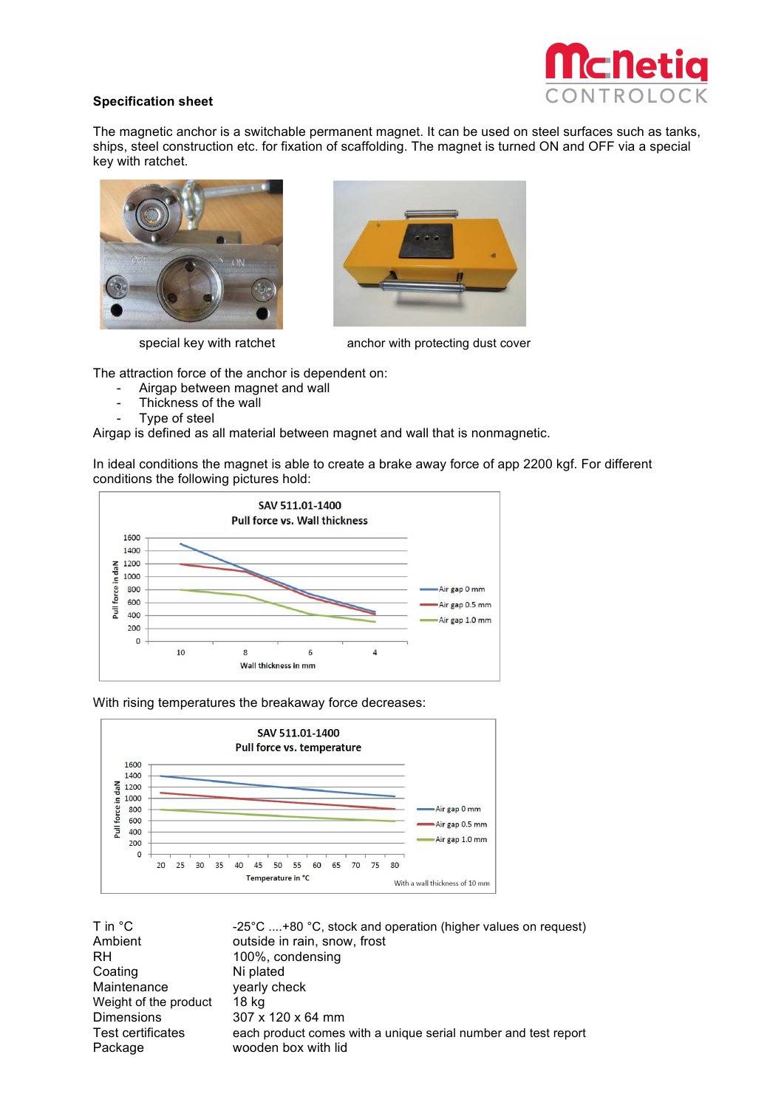## **Specification sheet**



The magnetic anchor is a switchable permanent magnet. It can be used on steel surfaces such as tanks, ships, steel construction etc. for fixation of scaffolding. The magnet is turned ON and OFF via a special key with ratchet.





special key with ratchet anchor with protecting dust cover

The attraction force of the anchor is dependent on:

- Airgap between magnet and wall
- Thickness of the wall
- Type of steel

Airgap is defined as all material between magnet and wall that is nonmagnetic.

In ideal conditions the magnet is able to create a brake away force of app 2200 kgf. For different conditions the following pictures hold:



With rising temperatures the breakaway force decreases:



| T in °C                  | $-25^{\circ}$ C +80 °C, stock and operation (higher values on request) |
|--------------------------|------------------------------------------------------------------------|
| Ambient                  | outside in rain, snow, frost                                           |
| RH.                      | 100%, condensing                                                       |
| Coating                  | Ni plated                                                              |
| Maintenance              | yearly check                                                           |
| Weight of the product    | 18 ka                                                                  |
| <b>Dimensions</b>        | $307 \times 120 \times 64$ mm                                          |
| <b>Test certificates</b> | each product comes with a unique serial number and test report         |
| Package                  | wooden box with lid                                                    |